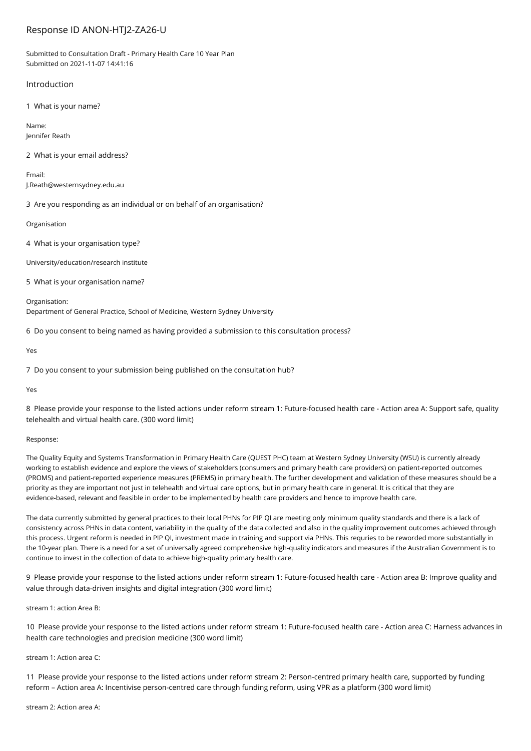# Response ID ANON-HTJ2-ZA26-U

Submitted to Consultation Draft - Primary Health Care 10 Year Plan Submitted on 2021-11-07 14:41:16

### Introduction

1 What is your name?

Name: Jennifer Reath

2 What is your email address?

Email: J.Reath@westernsydney.edu.au

3 Are you responding as an individual or on behalf of an organisation?

Organisation

4 What is your organisation type?

University/education/research institute

5 What is your organisation name?

Organisation: Department of General Practice, School of Medicine, Western Sydney University

6 Do you consent to being named as having provided a submission to this consultation process?

Yes

7 Do you consent to your submission being published on the consultation hub?

Yes

8 Please provide your response to the listed actions under reform stream 1: Future-focused health care - Action area A: Support safe, quality telehealth and virtual health care. (300 word limit)

### Response:

The Quality Equity and Systems Transformation in Primary Health Care (QUEST PHC) team at Western Sydney University (WSU) is currently already working to establish evidence and explore the views of stakeholders (consumers and primary health care providers) on patient-reported outcomes (PROMS) and patient-reported experience measures (PREMS) in primary health. The further development and validation of these measures should be a priority as they are important not just in telehealth and virtual care options, but in primary health care in general. It is critical that they are evidence-based, relevant and feasible in order to be implemented by health care providers and hence to improve health care.

The data currently submitted by general practices to their local PHNs for PIP QI are meeting only minimum quality standards and there is a lack of consistency across PHNs in data content, variability in the quality of the data collected and also in the quality improvement outcomes achieved through this process. Urgent reform is needed in PIP QI, investment made in training and support via PHNs. This requries to be reworded more substantially in the 10-year plan. There is a need for a set of universally agreed comprehensive high-quality indicators and measures if the Australian Government is to continue to invest in the collection of data to achieve high-quality primary health care.

9 Please provide your response to the listed actions under reform stream 1: Future-focused health care - Action area B: Improve quality and value through data-driven insights and digital integration (300 word limit)

stream 1: action Area B:

10 Please provide your response to the listed actions under reform stream 1: Future-focused health care - Action area C: Harness advances in health care technologies and precision medicine (300 word limit)

stream 1: Action area C:

11 Please provide your response to the listed actions under reform stream 2: Person-centred primary health care, supported by funding reform – Action area A: Incentivise person-centred care through funding reform, using VPR as a platform (300 word limit)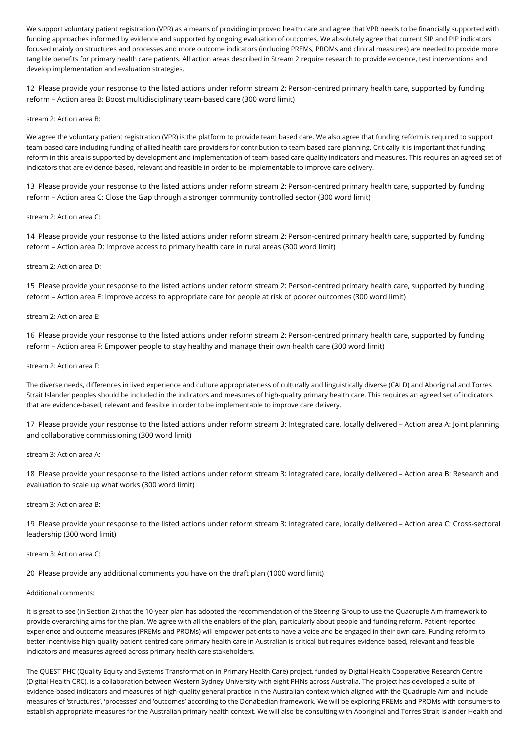We support voluntary patient registration (VPR) as a means of providing improved health care and agree that VPR needs to be financially supported with funding approaches informed by evidence and supported by ongoing evaluation of outcomes. We absolutely agree that current SIP and PIP indicators focused mainly on structures and processes and more outcome indicators (including PREMs, PROMs and clinical measures) are needed to provide more tangible benefits for primary health care patients. All action areas described in Stream 2 require research to provide evidence, test interventions and develop implementation and evaluation strategies.

12 Please provide your response to the listed actions under reform stream 2: Person-centred primary health care, supported by funding reform – Action area B: Boost multidisciplinary team-based care (300 word limit)

### stream 2: Action area B:

We agree the voluntary patient registration (VPR) is the platform to provide team based care. We also agree that funding reform is required to support team based care including funding of allied health care providers for contribution to team based care planning. Critically it is important that funding reform in this area is supported by development and implementation of team-based care quality indicators and measures. This requires an agreed set of indicators that are evidence-based, relevant and feasible in order to be implementable to improve care delivery.

13 Please provide your response to the listed actions under reform stream 2: Person-centred primary health care, supported by funding reform – Action area C: Close the Gap through a stronger community controlled sector (300 word limit)

### stream 2: Action area C:

14 Please provide your response to the listed actions under reform stream 2: Person-centred primary health care, supported by funding reform – Action area D: Improve access to primary health care in rural areas (300 word limit)

### stream 2: Action area D:

15 Please provide your response to the listed actions under reform stream 2: Person-centred primary health care, supported by funding reform – Action area E: Improve access to appropriate care for people at risk of poorer outcomes (300 word limit)

### stream 2: Action area E:

16 Please provide your response to the listed actions under reform stream 2: Person-centred primary health care, supported by funding reform – Action area F: Empower people to stay healthy and manage their own health care (300 word limit)

### stream 2: Action area F:

The diverse needs, differences in lived experience and culture appropriateness of culturally and linguistically diverse (CALD) and Aboriginal and Torres Strait Islander peoples should be included in the indicators and measures of high-quality primary health care. This requires an agreed set of indicators that are evidence-based, relevant and feasible in order to be implementable to improve care delivery.

17 Please provide your response to the listed actions under reform stream 3: Integrated care, locally delivered – Action area A: Joint planning and collaborative commissioning (300 word limit)

#### stream 3: Action area A:

18 Please provide your response to the listed actions under reform stream 3: Integrated care, locally delivered – Action area B: Research and evaluation to scale up what works (300 word limit)

### stream 3: Action area B:

19 Please provide your response to the listed actions under reform stream 3: Integrated care, locally delivered – Action area C: Cross-sectoral leadership (300 word limit)

### stream 3: Action area C:

## 20 Please provide any additional comments you have on the draft plan (1000 word limit)

### Additional comments:

It is great to see (in Section 2) that the 10-year plan has adopted the recommendation of the Steering Group to use the Quadruple Aim framework to provide overarching aims for the plan. We agree with all the enablers of the plan, particularly about people and funding reform. Patient-reported experience and outcome measures (PREMs and PROMs) will empower patients to have a voice and be engaged in their own care. Funding reform to better incentivise high-quality patient-centred care primary health care in Australian is critical but requires evidence-based, relevant and feasible indicators and measures agreed across primary health care stakeholders.

The QUEST PHC (Quality Equity and Systems Transformation in Primary Health Care) project, funded by Digital Health Cooperative Research Centre (Digital Health CRC), is a collaboration between Western Sydney University with eight PHNs across Australia. The project has developed a suite of evidence-based indicators and measures of high-quality general practice in the Australian context which aligned with the Quadruple Aim and include measures of 'structures', 'processes' and 'outcomes' according to the Donabedian framework. We will be exploring PREMs and PROMs with consumers to establish appropriate measures for the Australian primary health context. We will also be consulting with Aboriginal and Torres Strait Islander Health and